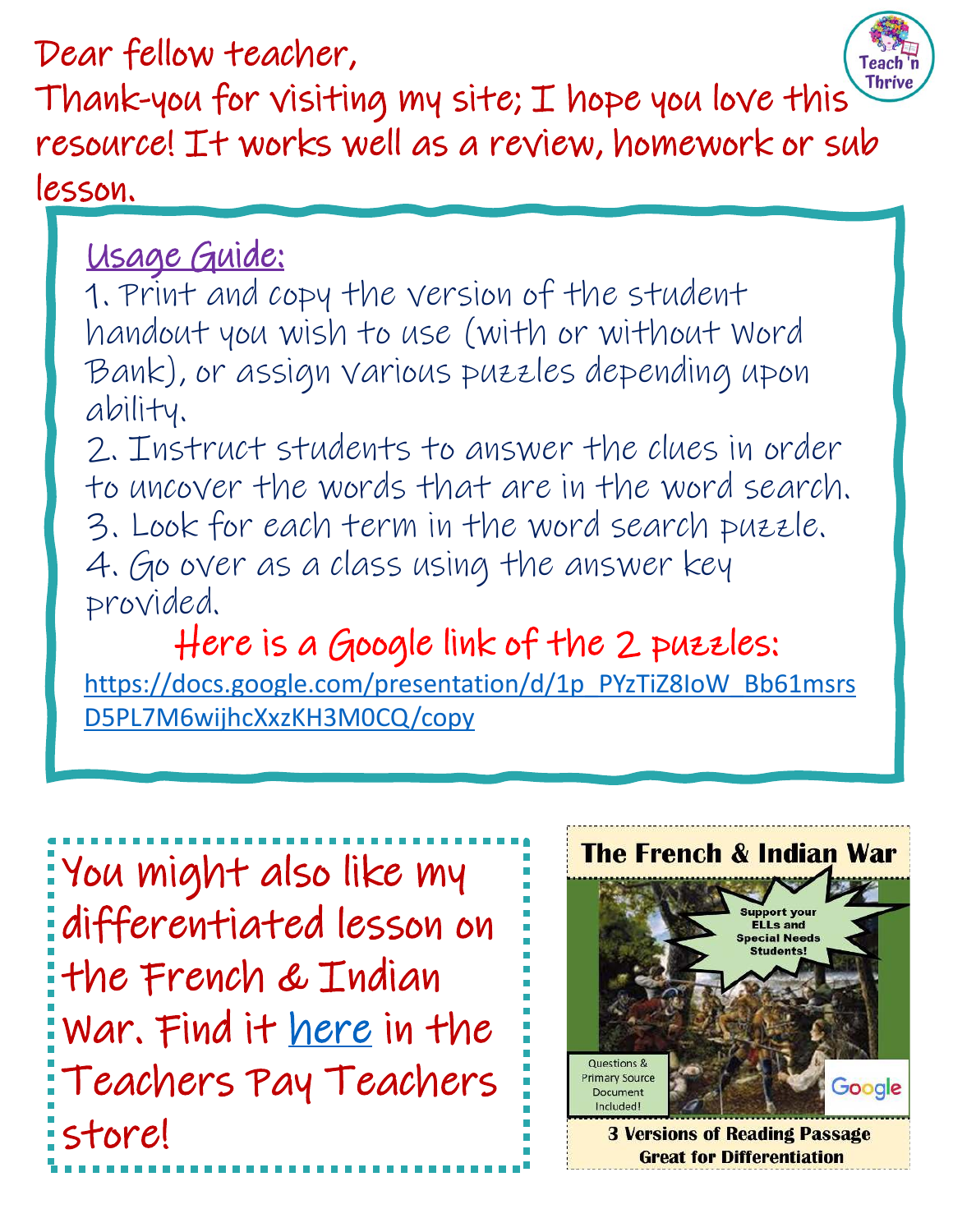Dear fellow teacher,



Thank-you for visiting my site; I hope you love thi[s](https://teachnthrive.com/)  resource! It works well as a review, homework or sub lesson.

## Usage Guide:

1. Print and copy the version of the student handout you wish to use (with or without Word Bank), or assign various puzzles depending upon ability.

2. Instruct students to answer the clues in order to uncover the words that are in the word search. 3. Look for each term in the word search puzzle. 4. Go over as a class using the answer key provided.

Here is a Google link of the 2 puzzles: [https://docs.google.com/presentation/d/1p\\_PYzTiZ8IoW\\_Bb61msrs](https://docs.google.com/presentation/d/1p_PYzTiZ8IoW_Bb61msrsD5PL7M6wijhcXxzKH3M0CQ/copy) D5PL7M6wijhcXxzKH3M0CQ/copy

| You might also like my          |
|---------------------------------|
| differentiated lesson on        |
| the French & Indian             |
| War. Find it <u>here</u> in the |
| Teachers Pay Teachers           |
| store!                          |

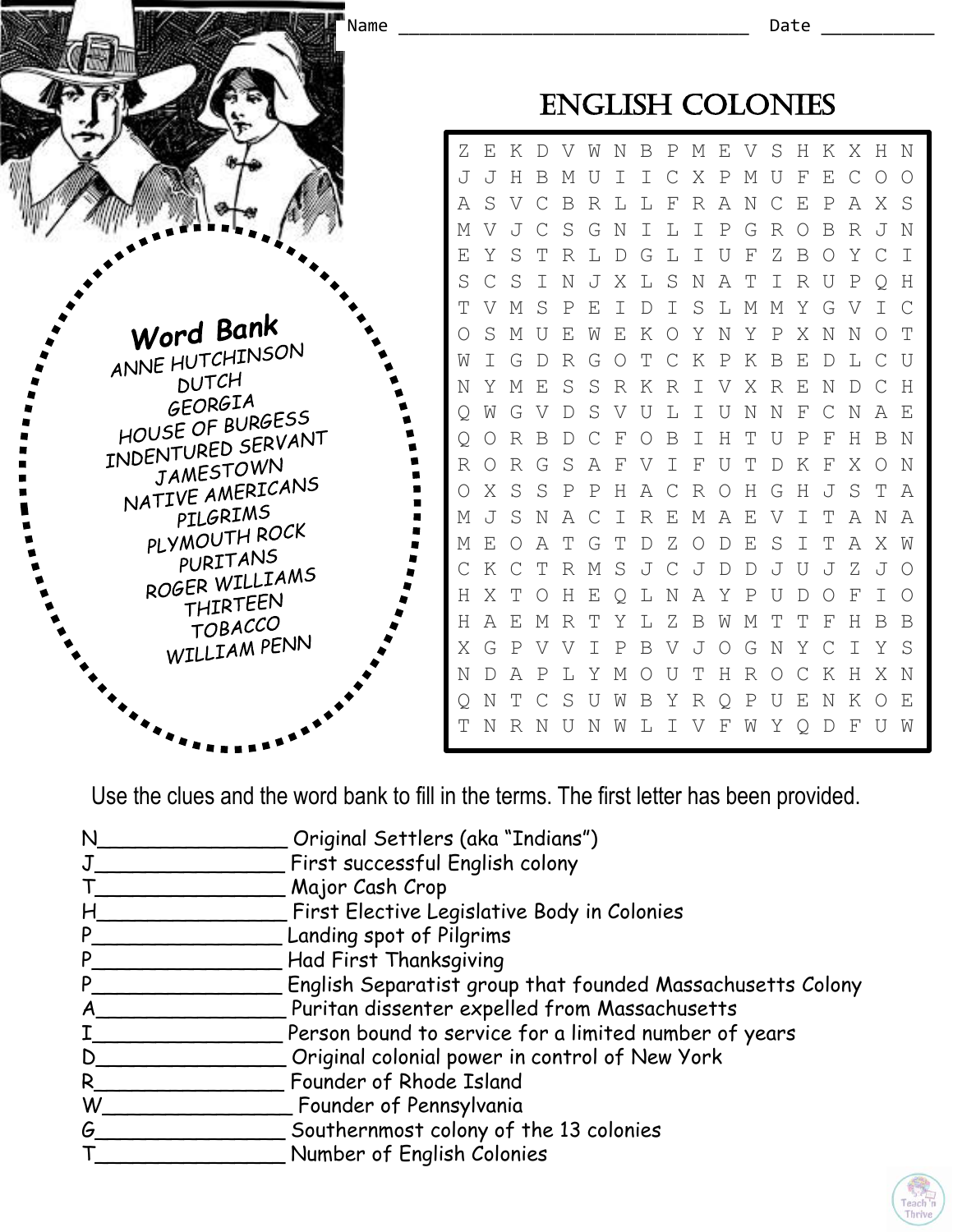

Use the clues and the word bank to fill in the terms. The first letter has been provided.

| N | Original Settlers (aka "Indians")                          |
|---|------------------------------------------------------------|
|   | First successful English colony                            |
|   | Major Cash Crop                                            |
| Н | First Elective Legislative Body in Colonies                |
| P | Landing spot of Pilgrims                                   |
| P | Had First Thanksgiving                                     |
| P | English Separatist group that founded Massachusetts Colony |
|   | Puritan dissenter expelled from Massachusetts              |
|   | Person bound to service for a limited number of years      |
| D | Original colonial power in control of New York             |
| R | Founder of Rhode Island                                    |
| W | Founder of Pennsylvania                                    |
| G | Southernmost colony of the 13 colonies                     |
|   | Number of English Colonies                                 |

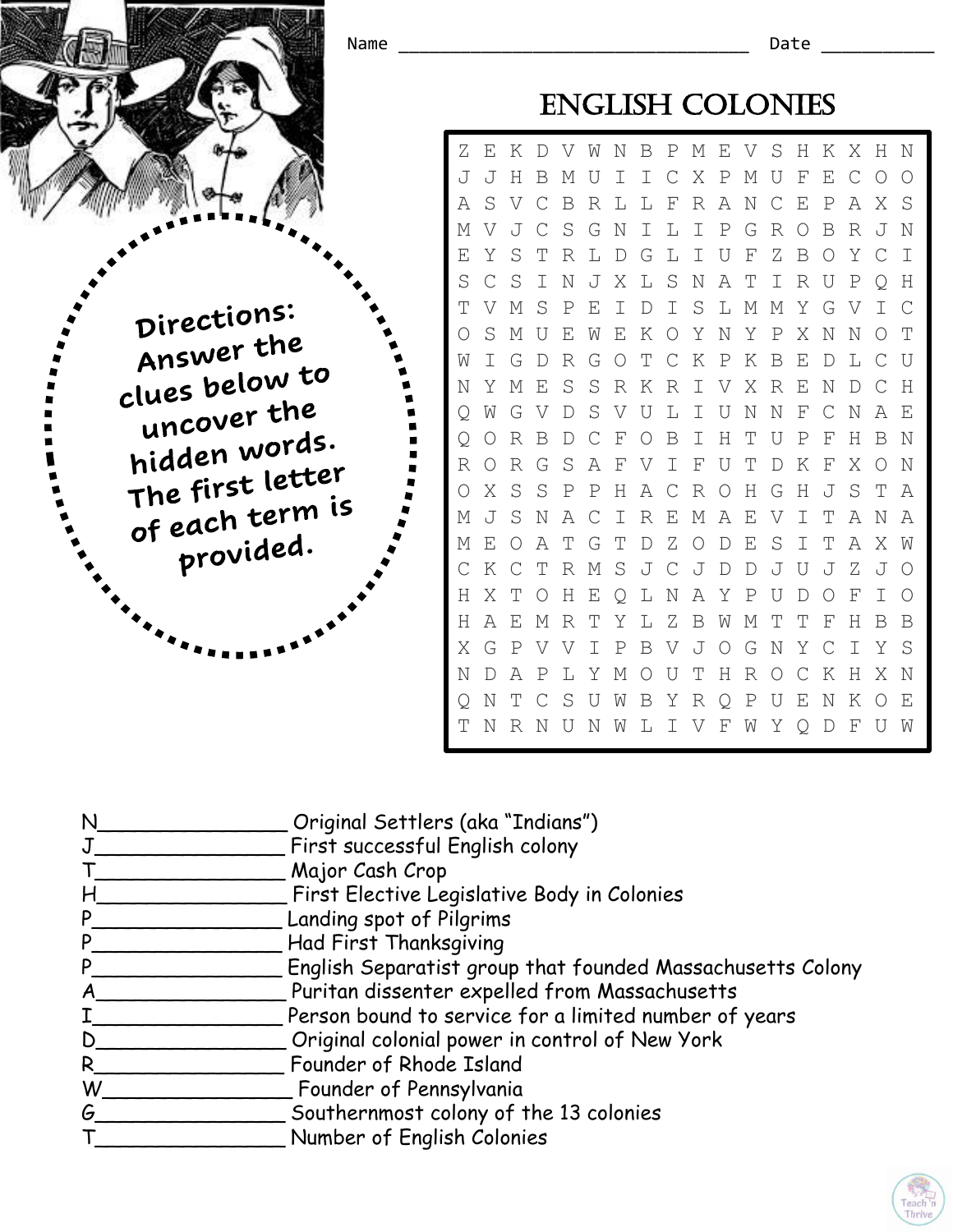

| N  | Original Settlers (aka "Indians")                          |
|----|------------------------------------------------------------|
|    | First successful English colony                            |
|    | Major Cash Crop                                            |
| H  | First Elective Legislative Body in Colonies                |
| P  | Landing spot of Pilgrims                                   |
| P  | Had First Thanksgiving                                     |
| P  | English Separatist group that founded Massachusetts Colony |
| A  | Puritan dissenter expelled from Massachusetts              |
|    | Person bound to service for a limited number of years      |
| D  | Original colonial power in control of New York             |
| R. | Founder of Rhode Island                                    |
| W  | Founder of Pennsylvania                                    |
| G  | Southernmost colony of the 13 colonies                     |
|    | Number of English Colonies                                 |

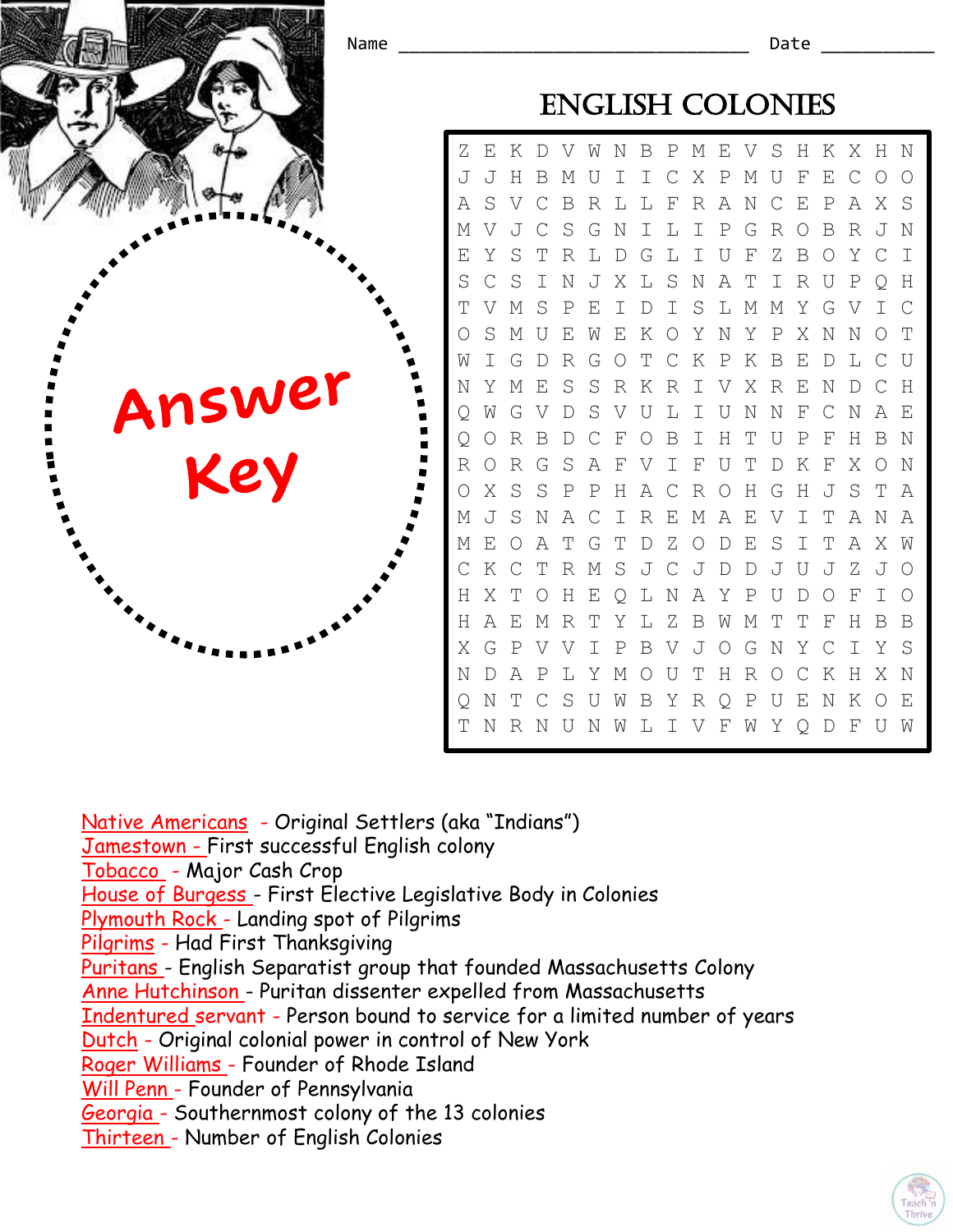

Native Americans - Original Settlers (aka "Indians") Jamestown - First successful English colony Tobacco - Major Cash Crop House of Burgess - First Elective Legislative Body in Colonies Plymouth Rock - Landing spot of Pilgrims Pilgrims - Had First Thanksgiving Puritans - English Separatist group that founded Massachusetts Colony Anne Hutchinson - Puritan dissenter expelled from Massachusetts Indentured servant - Person bound to service for a limited number of years Dutch - Original colonial power in control of New York Roger Williams - Founder of Rhode Island Will Penn - Founder of Pennsylvania Georgia - Southernmost colony of the 13 colonies Thirteen - Number of English Colonies